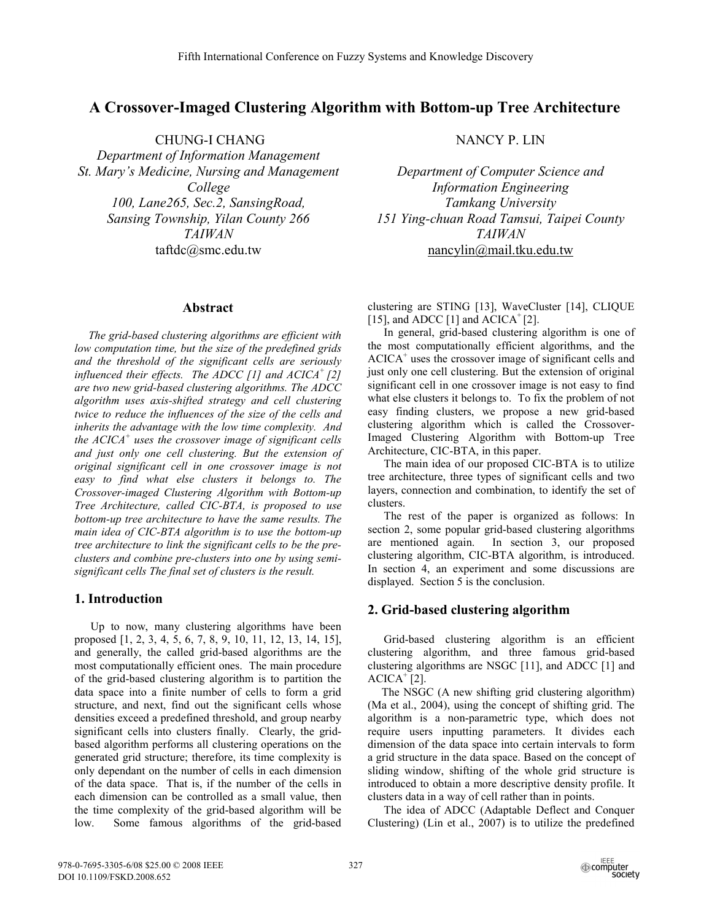# **A Crossover-Imaged Clustering Algorithm with Bottom-up Tree Architecture**

 CHUNG-I CHANG *Department of Information Management St. Mary's Medicine, Nursing and Management College 100, Lane265, Sec.2, SansingRoad, Sansing Township, Yilan County 266 TAIWAN* taftdc@smc.edu.tw

## **Abstract**

*The grid-based clustering algorithms are efficient with low computation time, but the size of the predefined grids and the threshold of the significant cells are seriously influenced their effects. The ADCC [1] and ACICA+ [2] are two new grid-based clustering algorithms. The ADCC algorithm uses axis-shifted strategy and cell clustering twice to reduce the influences of the size of the cells and inherits the advantage with the low time complexity. And the ACICA<sup>+</sup> uses the crossover image of significant cells and just only one cell clustering. But the extension of original significant cell in one crossover image is not easy to find what else clusters it belongs to. The Crossover-imaged Clustering Algorithm with Bottom-up Tree Architecture, called CIC-BTA, is proposed to use bottom-up tree architecture to have the same results. The main idea of CIC-BTA algorithm is to use the bottom-up tree architecture to link the significant cells to be the preclusters and combine pre-clusters into one by using semisignificant cells The final set of clusters is the result.* 

## **1. Introduction**

Up to now, many clustering algorithms have been proposed [1, 2, 3, 4, 5, 6, 7, 8, 9, 10, 11, 12, 13, 14, 15], and generally, the called grid-based algorithms are the most computationally efficient ones. The main procedure of the grid-based clustering algorithm is to partition the data space into a finite number of cells to form a grid structure, and next, find out the significant cells whose densities exceed a predefined threshold, and group nearby significant cells into clusters finally. Clearly, the gridbased algorithm performs all clustering operations on the generated grid structure; therefore, its time complexity is only dependant on the number of cells in each dimension of the data space. That is, if the number of the cells in each dimension can be controlled as a small value, then the time complexity of the grid-based algorithm will be low. Some famous algorithms of the grid-based

NANCY P. LIN

*Department of Computer Science and Information Engineering Tamkang University 151 Ying-chuan Road Tamsui, Taipei County TAIWAN*  nancylin@mail.tku.edu.tw

clustering are STING [13], WaveCluster [14], CLIQUE [15], and ADCC [1] and  $ACICA<sup>+</sup>[2]$ .

In general, grid-based clustering algorithm is one of the most computationally efficient algorithms, and the ACICA<sup>+</sup> uses the crossover image of significant cells and just only one cell clustering. But the extension of original significant cell in one crossover image is not easy to find what else clusters it belongs to. To fix the problem of not easy finding clusters, we propose a new grid-based clustering algorithm which is called the Crossover-Imaged Clustering Algorithm with Bottom-up Tree Architecture, CIC-BTA, in this paper.

The main idea of our proposed CIC-BTA is to utilize tree architecture, three types of significant cells and two layers, connection and combination, to identify the set of clusters.

The rest of the paper is organized as follows: In section 2, some popular grid-based clustering algorithms are mentioned again. In section 3, our proposed clustering algorithm, CIC-BTA algorithm, is introduced. In section 4, an experiment and some discussions are displayed. Section 5 is the conclusion.

## **2. Grid-based clustering algorithm**

Grid-based clustering algorithm is an efficient clustering algorithm, and three famous grid-based clustering algorithms are NSGC [11], and ADCC [1] and  $ACICA^+[2]$ .

The NSGC (A new shifting grid clustering algorithm) (Ma et al., 2004), using the concept of shifting grid. The algorithm is a non-parametric type, which does not require users inputting parameters. It divides each dimension of the data space into certain intervals to form a grid structure in the data space. Based on the concept of sliding window, shifting of the whole grid structure is introduced to obtain a more descriptive density profile. It clusters data in a way of cell rather than in points.

The idea of ADCC (Adaptable Deflect and Conquer Clustering) (Lin et al., 2007) is to utilize the predefined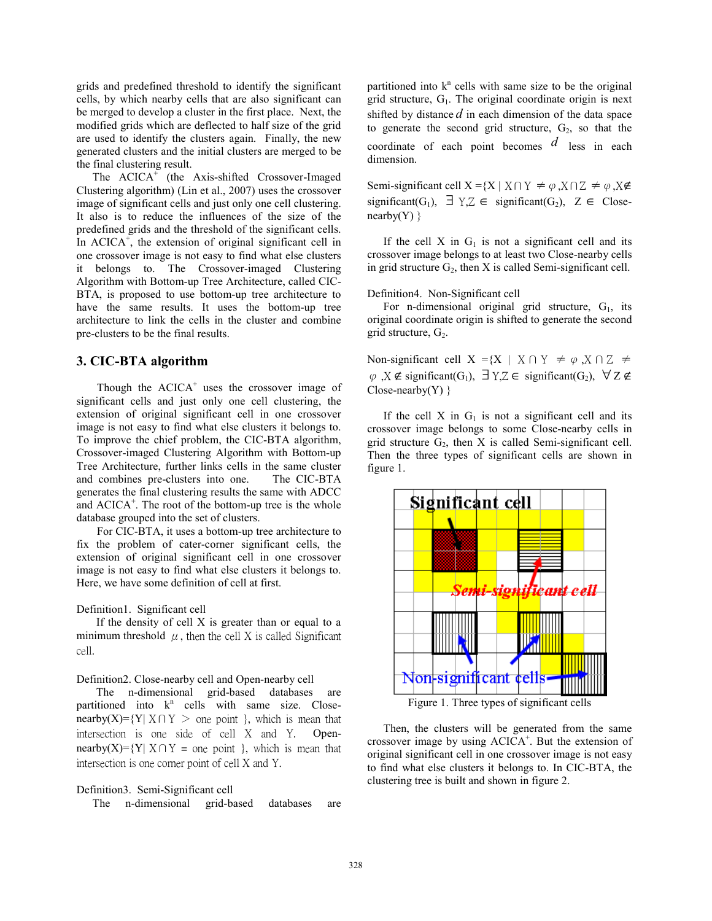grids and predefined threshold to identify the significant cells, by which nearby cells that are also significant can be merged to develop a cluster in the first place. Next, the modified grids which are deflected to half size of the grid are used to identify the clusters again. Finally, the new generated clusters and the initial clusters are merged to be the final clustering result.

The  $ACICA^{\dagger}$  (the Axis-shifted Crossover-Imaged Clustering algorithm) (Lin et al., 2007) uses the crossover image of significant cells and just only one cell clustering. It also is to reduce the influences of the size of the predefined grids and the threshold of the significant cells. In ACICA $^+$ , the extension of original significant cell in one crossover image is not easy to find what else clusters it belongs to. The Crossover-imaged Clustering Algorithm with Bottom-up Tree Architecture, called CIC-BTA, is proposed to use bottom-up tree architecture to have the same results. It uses the bottom-up tree architecture to link the cells in the cluster and combine pre-clusters to be the final results.

### **3. CIC-BTA algorithm**

Though the  $ACICA^+$  uses the crossover image of significant cells and just only one cell clustering, the extension of original significant cell in one crossover image is not easy to find what else clusters it belongs to. To improve the chief problem, the CIC-BTA algorithm, Crossover-imaged Clustering Algorithm with Bottom-up Tree Architecture, further links cells in the same cluster and combines pre-clusters into one. The CIC-BTA generates the final clustering results the same with ADCC and  $\text{ACICA}^+$ . The root of the bottom-up tree is the whole database grouped into the set of clusters.

For CIC-BTA, it uses a bottom-up tree architecture to fix the problem of cater-corner significant cells, the extension of original significant cell in one crossover image is not easy to find what else clusters it belongs to. Here, we have some definition of cell at first.

Definition1. Significant cell

If the density of cell X is greater than or equal to a minimum threshold  $\mu$ , then the cell X is called Significant cell.

#### Definition2. Close-nearby cell and Open-nearby cell

The n-dimensional grid-based databases are partitioned into  $k^n$  cells with same size. Closenearby(X)={Y| X ∩ Y > one point }, which is mean that intersection is one side of cell X and Y. Opennearby(X)={Y| X∩Y = one point }, which is mean that intersection is one corner point of cell X and Y.

#### Definition3. Semi-Significant cell

The n-dimensional grid-based databases are

partitioned into  $k<sup>n</sup>$  cells with same size to be the original grid structure,  $G_1$ . The original coordinate origin is next shifted by distance *d* in each dimension of the data space to generate the second grid structure,  $G_2$ , so that the coordinate of each point becomes *d* less in each dimension.

Semi-significant cell  $X = \{X \mid X \cap Y \neq \varphi, X \cap Z \neq \varphi, X \notin \varphi\}$ significant(G<sub>1</sub>),  $\exists Y,Z \in$  significant(G<sub>2</sub>),  $Z \in$  Close $nearly(Y)$ }

If the cell X in  $G_1$  is not a significant cell and its crossover image belongs to at least two Close-nearby cells in grid structure  $G_2$ , then X is called Semi-significant cell.

#### Definition4. Non-Significant cell

For n-dimensional original grid structure,  $G_1$ , its original coordinate origin is shifted to generate the second grid structure,  $G_2$ .

Non-significant cell  $X = \{X \mid X \cap Y \neq \varphi, X \cap Z \neq \varphi\}$  $\varphi$ ,  $X \notin$  significant(G<sub>1</sub>),  $\exists Y, Z \in$  significant(G<sub>2</sub>),  $\forall Z \notin$  $Close-nearly(Y)$  }

If the cell  $X$  in  $G_1$  is not a significant cell and its crossover image belongs to some Close-nearby cells in grid structure  $G_2$ , then X is called Semi-significant cell. Then the three types of significant cells are shown in figure 1.



Figure 1. Three types of significant cells

Then, the clusters will be generated from the same crossover image by using  $ACICA^+$ . But the extension of original significant cell in one crossover image is not easy to find what else clusters it belongs to. In CIC-BTA, the clustering tree is built and shown in figure 2.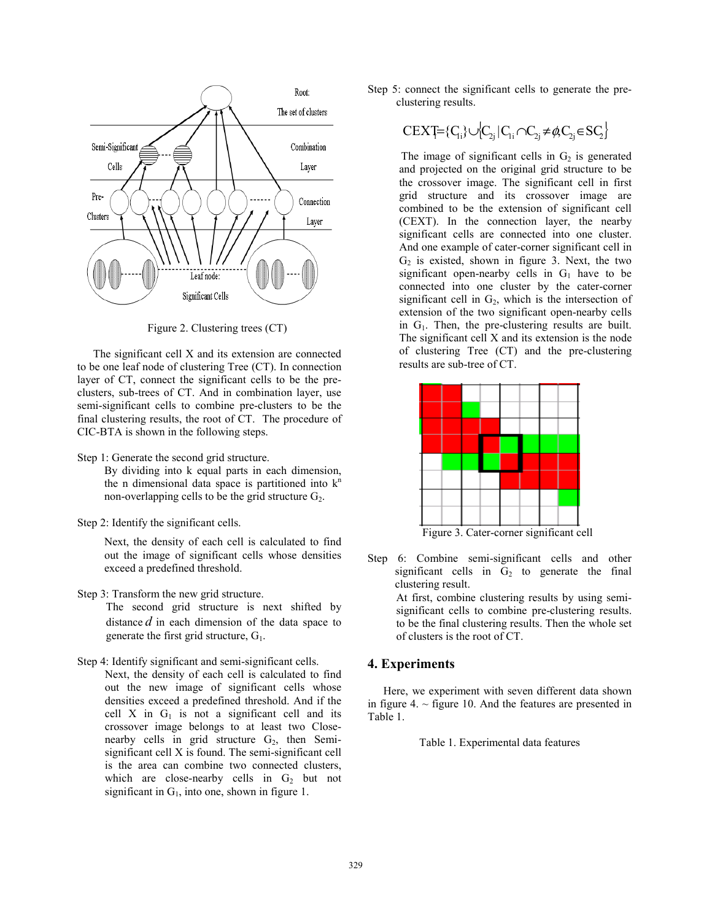

Figure 2. Clustering trees (CT)

The significant cell X and its extension are connected to be one leaf node of clustering Tree (CT). In connection layer of CT, connect the significant cells to be the preclusters, sub-trees of CT. And in combination layer, use semi-significant cells to combine pre-clusters to be the final clustering results, the root of CT. The procedure of CIC-BTA is shown in the following steps.

Step 1: Generate the second grid structure.

By dividing into k equal parts in each dimension, the n dimensional data space is partitioned into  $k<sup>n</sup>$ non-overlapping cells to be the grid structure  $G_2$ .

Step 2: Identify the significant cells.

Next, the density of each cell is calculated to find out the image of significant cells whose densities exceed a predefined threshold.

- Step 3: Transform the new grid structure.
	- The second grid structure is next shifted by distance *d* in each dimension of the data space to generate the first grid structure,  $G_1$ .
- Step 4: Identify significant and semi-significant cells.
	- Next, the density of each cell is calculated to find out the new image of significant cells whose densities exceed a predefined threshold. And if the cell X in  $G_1$  is not a significant cell and its crossover image belongs to at least two Closenearby cells in grid structure  $G_2$ , then Semisignificant cell X is found. The semi-significant cell is the area can combine two connected clusters, which are close-nearby cells in  $G_2$  but not significant in  $G_1$ , into one, shown in figure 1.

Step 5: connect the significant cells to generate the preclustering results.

$$
C \mathsf{E} X \mathsf{T} = \{C_{i} \} \cup \{C_{2j} | C_{1i} \cap C_{2j} \neq \emptyset, C_{2j} \in \mathsf{SC}_2 \}
$$

The image of significant cells in  $G_2$  is generated and projected on the original grid structure to be the crossover image. The significant cell in first grid structure and its crossover image are combined to be the extension of significant cell (CEXT). In the connection layer, the nearby significant cells are connected into one cluster. And one example of cater-corner significant cell in  $G<sub>2</sub>$  is existed, shown in figure 3. Next, the two significant open-nearby cells in  $G_1$  have to be connected into one cluster by the cater-corner significant cell in  $G_2$ , which is the intersection of extension of the two significant open-nearby cells in  $G_1$ . Then, the pre-clustering results are built. The significant cell X and its extension is the node of clustering Tree (CT) and the pre-clustering results are sub-tree of CT.



Step 6: Combine semi-significant cells and other significant cells in  $G_2$  to generate the final clustering result.

> At first, combine clustering results by using semisignificant cells to combine pre-clustering results. to be the final clustering results. Then the whole set of clusters is the root of CT.

#### **4. Experiments**

Here, we experiment with seven different data shown in figure 4.  $\sim$  figure 10. And the features are presented in Table 1.

Table 1. Experimental data features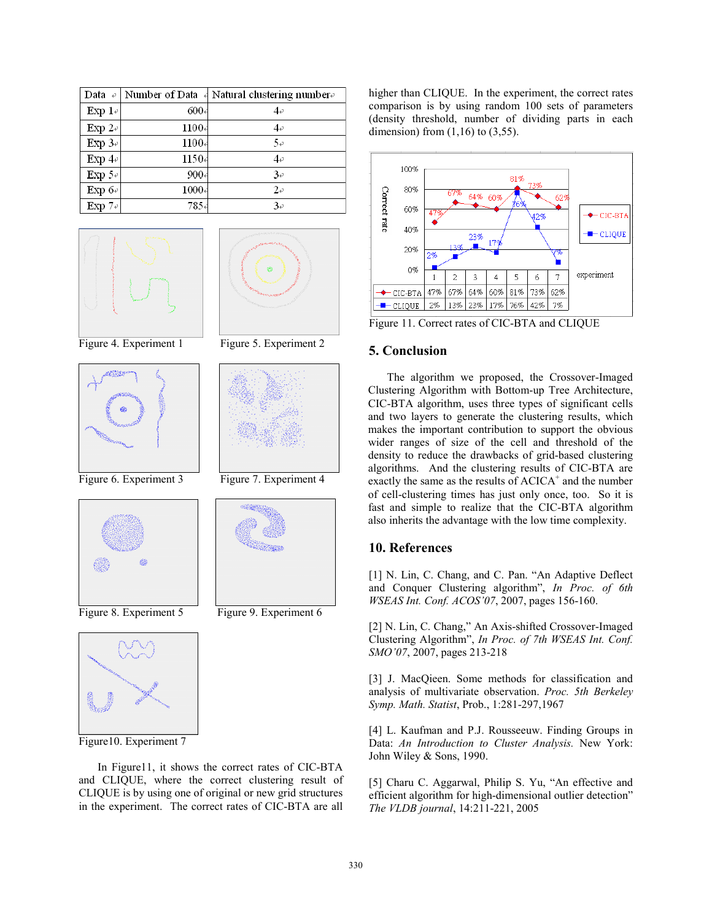| Data $\leftrightarrow$ |          | Number of Data $\frac{1}{4}$ Natural clustering number |
|------------------------|----------|--------------------------------------------------------|
| Exp $1 \div$           | $600+$   | 4₽                                                     |
| Exp $2\epsilon$        | 1100     | 4₽                                                     |
| Exp $3\degree$         | $1100 +$ | 50                                                     |
| Exp $4\div$            | 1150     | 4₽                                                     |
| Exp $5\degree$         | $900 +$  | 3e                                                     |
| Exp $6\div$            | $1000 -$ | 2e                                                     |
| Exp $7\degree$         | 7854     | 3e                                                     |





Figure 4. Experiment 1 Figure 5. Experiment 2



Figure 6. Experiment 3 Figure 7. Experiment 4





Figure 8. Experiment 5 Figure 9. Experiment 6



Figure10. Experiment 7

In Figure11, it shows the correct rates of CIC-BTA and CLIQUE, where the correct clustering result of CLIQUE is by using one of original or new grid structures in the experiment. The correct rates of CIC-BTA are all

higher than CLIQUE. In the experiment, the correct rates comparison is by using random 100 sets of parameters (density threshold, number of dividing parts in each dimension) from  $(1,16)$  to  $(3,55)$ .



Figure 11. Correct rates of CIC-BTA and CLIQUE

## **5. Conclusion**

The algorithm we proposed, the Crossover-Imaged Clustering Algorithm with Bottom-up Tree Architecture, CIC-BTA algorithm, uses three types of significant cells and two layers to generate the clustering results, which makes the important contribution to support the obvious wider ranges of size of the cell and threshold of the density to reduce the drawbacks of grid-based clustering algorithms. And the clustering results of CIC-BTA are exactly the same as the results of ACICA<sup>+</sup> and the number of cell-clustering times has just only once, too. So it is fast and simple to realize that the CIC-BTA algorithm also inherits the advantage with the low time complexity.

## **10. References**

[1] N. Lin, C. Chang, and C. Pan. "An Adaptive Deflect and Conquer Clustering algorithm", *In Proc. of 6th WSEAS Int. Conf. ACOS'07*, 2007, pages 156-160.

[2] N. Lin, C. Chang," An Axis-shifted Crossover-Imaged Clustering Algorithm", *In Proc. of 7th WSEAS Int. Conf. SMO'07*, 2007, pages 213-218

[3] J. MacQieen. Some methods for classification and analysis of multivariate observation. *Proc. 5th Berkeley Symp. Math. Statist*, Prob., 1:281-297,1967

[4] L. Kaufman and P.J. Rousseeuw. Finding Groups in Data: *An Introduction to Cluster Analysis.* New York: John Wiley & Sons, 1990.

[5] Charu C. Aggarwal, Philip S. Yu, "An effective and efficient algorithm for high-dimensional outlier detection" *The VLDB journal*, 14:211-221, 2005